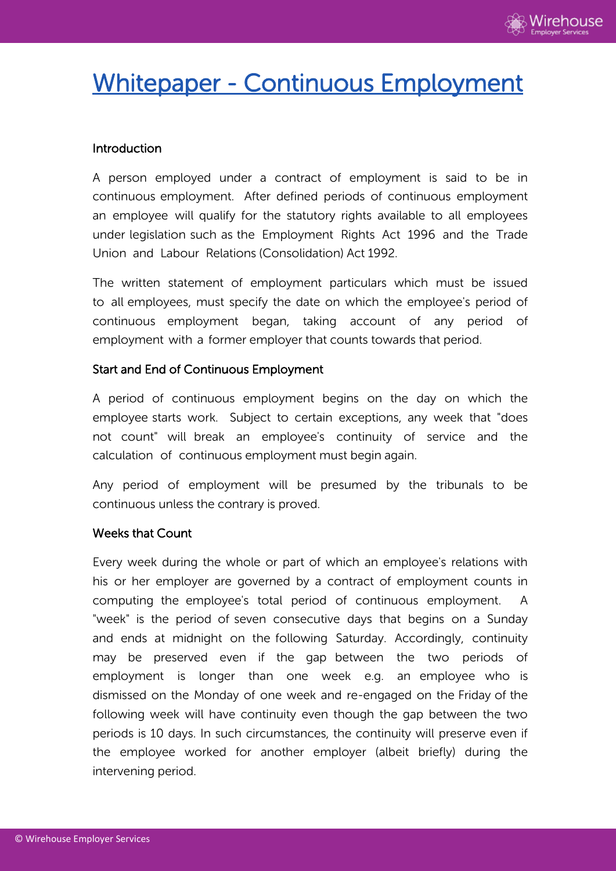

# Whitepaper - Continuous Employment

# Introduction

A person employed under a contract of employment is said to be in continuous employment. After defined periods of continuous employment an employee will qualify for the statutory rights available to all employees under legislation such as the Employment Rights Act 1996 and the Trade Union and Labour Relations (Consolidation) Act 1992.

The written statement of employment particulars which must be issued to all employees, must specify the date on which the employee's period of continuous employment began, taking account of any period of employment with a former employer that counts towards that period.

### Start and End of Continuous Employment

A period of continuous employment begins on the day on which the employee starts work. Subject to certain exceptions, any week that "does not count" will break an employee's continuity of service and the calculation of continuous employment must begin again.

Any period of employment will be presumed by the tribunals to be continuous unless the contrary is proved.

#### Weeks that Count

Every week during the whole or part of which an employee's relations with his or her employer are governed by a contract of employment counts in computing the employee's total period of continuous employment. A "week" is the period of seven consecutive days that begins on a Sunday and ends at midnight on the following Saturday. Accordingly, continuity may be preserved even if the gap between the two periods of employment is longer than one week e.g. an employee who is dismissed on the Monday of one week and re-engaged on the Friday of the following week will have continuity even though the gap between the two periods is 10 days. In such circumstances, the continuity will preserve even if the employee worked for another employer (albeit briefly) during the intervening period.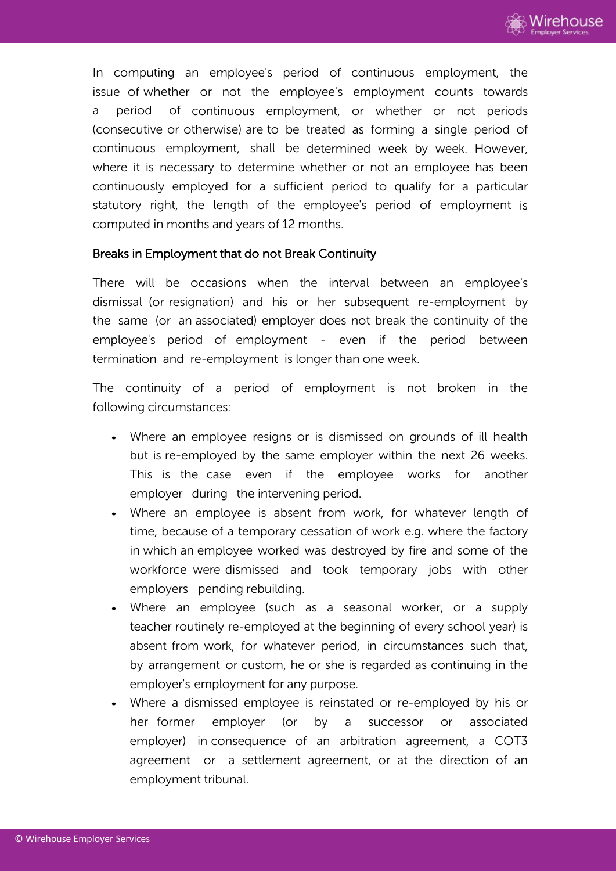

In computing an employee's period of continuous employment, the issue of whether or not the employee's employment counts towards a period of continuous employment, or whether or not periods (consecutive or otherwise) are to be treated as forming a single period of continuous employment, shall be determined week by week. However, where it is necessary to determine whether or not an employee has been continuously employed for a sufficient period to qualify for a particular statutory right, the length of the employee's period of employment is computed in months and years of 12 months.

#### Breaks in Employment that do not Break Continuity

There will be occasions when the interval between an employee's dismissal (or resignation) and his or her subsequent re-employment by the same (or an associated) employer does not break the continuity of the employee's period of employment - even if the period between termination and re-employment is longer than one week.

The continuity of a period of employment is not broken in the following circumstances:

- Where an employee resigns or is dismissed on grounds of ill health but is re-employed by the same employer within the next 26 weeks. This is the case even if the employee works for another employer during the intervening period.
- Where an employee is absent from work, for whatever length of time, because of a temporary cessation of work e.g. where the factory in which an employee worked was destroyed by fire and some of the workforce were dismissed and took temporary jobs with other employers pending rebuilding.
- Where an employee (such as a seasonal worker, or a supply teacher routinely re-employed at the beginning of every school year) is absent from work, for whatever period, in circumstances such that, by arrangement or custom, he or she is regarded as continuing in the employer's employment for any purpose.
- Where a dismissed employee is reinstated or re-employed by his or her former employer (or by a successor or associated employer) in consequence of an arbitration agreement, a COT3 agreement or a settlement agreement, or at the direction of an employment tribunal.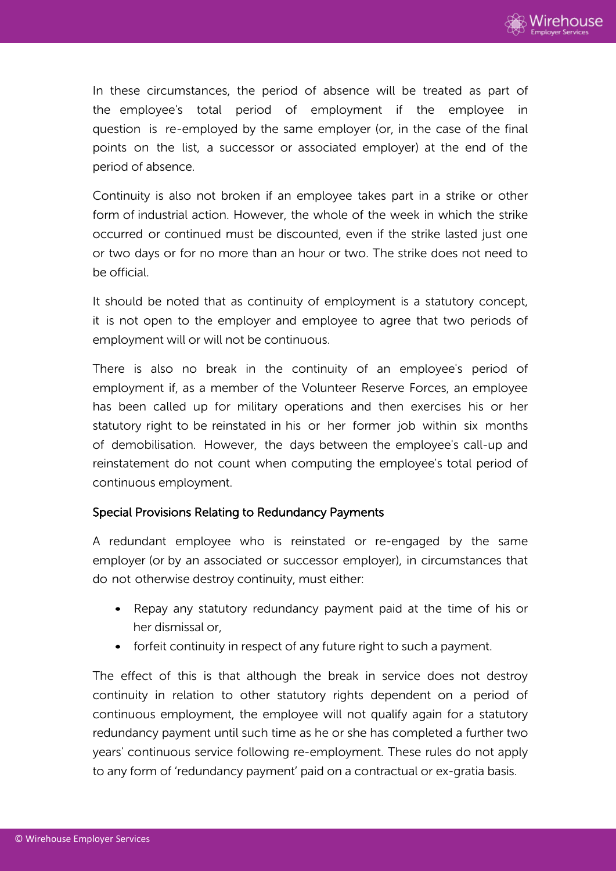In these circumstances, the period of absence will be treated as part of the employee's total period of employment if the employee in question is re-employed by the same employer (or, in the case of the final points on the list, a successor or associated employer) at the end of the period of absence.

Continuity is also not broken if an employee takes part in a strike or other form of industrial action. However, the whole of the week in which the strike occurred or continued must be discounted, even if the strike lasted just one or two days or for no more than an hour or two. The strike does not need to be official.

It should be noted that as continuity of employment is a statutory concept, it is not open to the employer and employee to agree that two periods of employment will or will not be continuous.

There is also no break in the continuity of an employee's period of employment if, as a member of the Volunteer Reserve Forces, an employee has been called up for military operations and then exercises his or her statutory right to be reinstated in his or her former job within six months of demobilisation. However, the days between the employee's call-up and reinstatement do not count when computing the employee's total period of continuous employment.

# Special Provisions Relating to Redundancy Payments

A redundant employee who is reinstated or re-engaged by the same employer (or by an associated or successor employer), in circumstances that do not otherwise destroy continuity, must either:

- Repay any statutory redundancy payment paid at the time of his or her dismissal or,
- forfeit continuity in respect of any future right to such a payment.

The effect of this is that although the break in service does not destroy continuity in relation to other statutory rights dependent on a period of continuous employment, the employee will not qualify again for a statutory redundancy payment until such time as he or she has completed a further two years' continuous service following re-employment. These rules do not apply to any form of 'redundancy payment' paid on a contractual or ex-gratia basis.